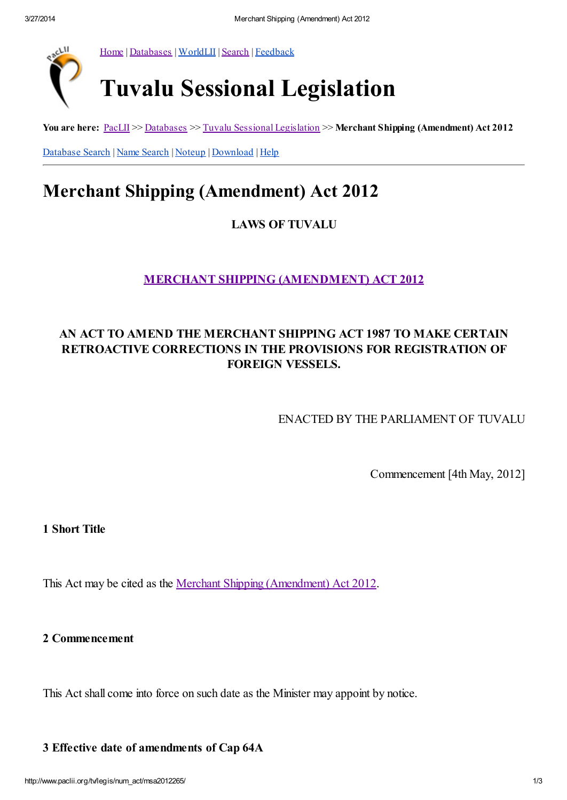

[Home](http://www.paclii.org/) | [Databases](http://www.paclii.org/databases.html) | [WorldLII](http://www.worldlii.org/) | [Search](http://www.paclii.org/form/search/search1.html) | [Feedback](http://www.paclii.org/paclii/feedback.html)

# Tuvalu Sessional Legislation

You are here: [PacLII](http://www.paclii.org/) >> [Databases](http://www.paclii.org/databases.html) >> Tuvalu Sessional [Legislation](http://www.paclii.org/tv/legis/num_act/) >> Merchant Shipping (Amendment) Act 2012

[Database](http://www.paclii.org/form/search/search1.html?mask=tv/legis/num_act) Search | Name [Search](http://www.paclii.org/form/search/search1.html?mask=tv/legis/num_act&title=1) | [Noteup](http://www.paclii.org/cgi-bin/sinosrch.cgi?method=boolean&meta=/paclii&results=50&query=msa2012265) | [Download](http://www.paclii.org/tv/legis/num_act/msa2012265.rtf) | [Help](http://www.paclii.org/paclii/help/legis.html)

# Merchant Shipping (Amendment) Act 2012

LAWS OF TUVALU

MERCHANT SHIPPING [\(AMENDMENT\)](http://www.paclii.org/tv/legis/num_act/msa2012265/) ACT 2012

## AN ACT TO AMEND THE MERCHANT SHIPPING ACT 1987 TO MAKE CERTAIN RETROACTIVE CORRECTIONS IN THE PROVISIONS FOR REGISTRATION OF FOREIGN VESSELS.

ENACTED BY THE PARLIAMENT OF TUVALU

Commencement [4th May, 2012]

1 Short Title

This Act may be cited as the Merchant Shipping [\(Amendment\)](http://www.paclii.org/tv/legis/num_act/msa2012265/) Act 2012.

2 Commencement

This Act shall come into force on such date as the Minister may appoint by notice.

#### 3 Effective date of amendments of Cap 64A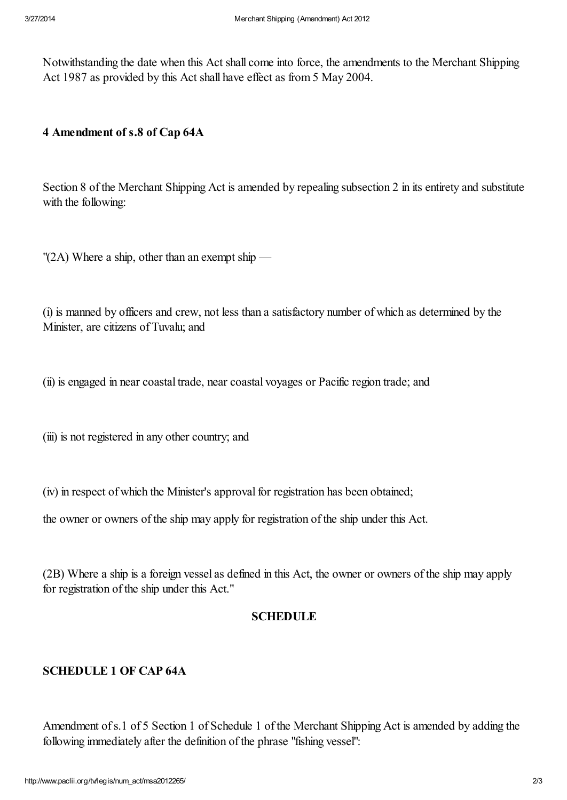Notwithstanding the date when this Act shall come into force, the amendments to the Merchant Shipping Act 1987 as provided by this Act shall have effect as from 5 May 2004.

#### 4 Amendment of s.8 of Cap 64A

Section 8 of the Merchant Shipping Act is amended by repealing subsection 2 in its entirety and substitute with the following:

"(2A) Where a ship, other than an exempt ship —

(i) is manned by officers and crew, not less than a satisfactory number of which as determined by the Minister, are citizens of Tuvalu; and

(ii) is engaged in near coastal trade, near coastal voyages or Pacific region trade; and

(iii) is not registered in any other country; and

(iv) in respect of which the Minister's approval for registration has been obtained;

the owner or owners of the ship may apply for registration of the ship under this Act.

(2B) Where a ship is a foreign vessel as defined in this Act, the owner or owners of the ship may apply for registration of the ship under this Act."

#### **SCHEDULE**

### SCHEDULE 1 OF CAP 64A

Amendment ofs.1 of 5 Section 1 of Schedule 1 of the Merchant Shipping Act is amended by adding the following immediately after the definition of the phrase "fishing vessel":